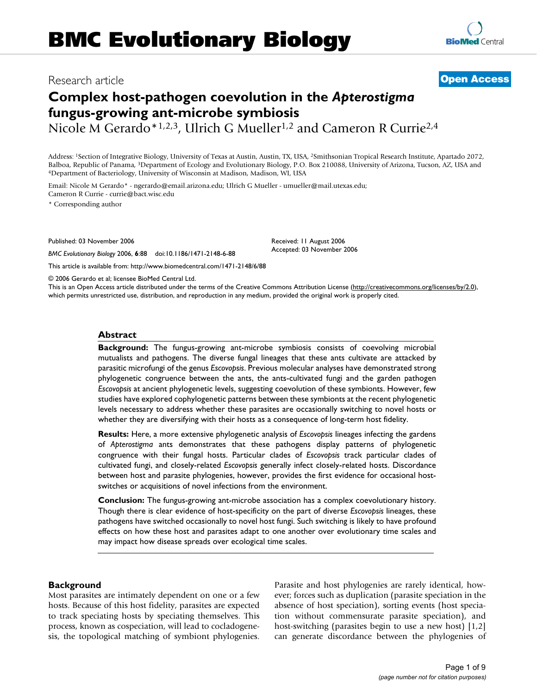# Research article **[Open Access](http://www.biomedcentral.com/info/about/charter/)**

# **Complex host-pathogen coevolution in the** *Apterostigma*  **fungus-growing ant-microbe symbiosis**

Nicole M Gerardo\*1,2,3, Ulrich G Mueller<sup>1,2</sup> and Cameron R Currie<sup>2,4</sup>

Address: 1Section of Integrative Biology, University of Texas at Austin, Austin, TX, USA, 2Smithsonian Tropical Research Institute, Apartado 2072, Balboa, Republic of Panama, <sup>3</sup>Department of Ecology and Evolutionary Biology, P.O. Box 210088, University of Arizona, Tucson, AZ, USA and 4Department of Bacteriology, University of Wisconsin at Madison, Madison, WI, USA

Email: Nicole M Gerardo\* - ngerardo@email.arizona.edu; Ulrich G Mueller - umueller@mail.utexas.edu; Cameron R Currie - currie@bact.wisc.edu

\* Corresponding author

Published: 03 November 2006

*BMC Evolutionary Biology* 2006, **6**:88 doi:10.1186/1471-2148-6-88

[This article is available from: http://www.biomedcentral.com/1471-2148/6/88](http://www.biomedcentral.com/1471-2148/6/88)

© 2006 Gerardo et al; licensee BioMed Central Ltd.

This is an Open Access article distributed under the terms of the Creative Commons Attribution License [\(http://creativecommons.org/licenses/by/2.0\)](http://creativecommons.org/licenses/by/2.0), which permits unrestricted use, distribution, and reproduction in any medium, provided the original work is properly cited.

#### **Abstract**

**Background:** The fungus-growing ant-microbe symbiosis consists of coevolving microbial mutualists and pathogens. The diverse fungal lineages that these ants cultivate are attacked by parasitic microfungi of the genus *Escovopsis*. Previous molecular analyses have demonstrated strong phylogenetic congruence between the ants, the ants-cultivated fungi and the garden pathogen *Escovopsis* at ancient phylogenetic levels, suggesting coevolution of these symbionts. However, few studies have explored cophylogenetic patterns between these symbionts at the recent phylogenetic levels necessary to address whether these parasites are occasionally switching to novel hosts or whether they are diversifying with their hosts as a consequence of long-term host fidelity.

**Results:** Here, a more extensive phylogenetic analysis of *Escovopsis* lineages infecting the gardens of *Apterostigma* ants demonstrates that these pathogens display patterns of phylogenetic congruence with their fungal hosts. Particular clades of *Escovopsis* track particular clades of cultivated fungi, and closely-related *Escovopsis* generally infect closely-related hosts. Discordance between host and parasite phylogenies, however, provides the first evidence for occasional hostswitches or acquisitions of novel infections from the environment.

**Conclusion:** The fungus-growing ant-microbe association has a complex coevolutionary history. Though there is clear evidence of host-specificity on the part of diverse *Escovopsis* lineages, these pathogens have switched occasionally to novel host fungi. Such switching is likely to have profound effects on how these host and parasites adapt to one another over evolutionary time scales and may impact how disease spreads over ecological time scales.

#### **Background**

Most parasites are intimately dependent on one or a few hosts. Because of this host fidelity, parasites are expected to track speciating hosts by speciating themselves. This process, known as cospeciation, will lead to cocladogenesis, the topological matching of symbiont phylogenies. Parasite and host phylogenies are rarely identical, however; forces such as duplication (parasite speciation in the absence of host speciation), sorting events (host speciation without commensurate parasite speciation), and host-switching (parasites begin to use a new host) [1,2] can generate discordance between the phylogenies of



Received: 11 August 2006 Accepted: 03 November 2006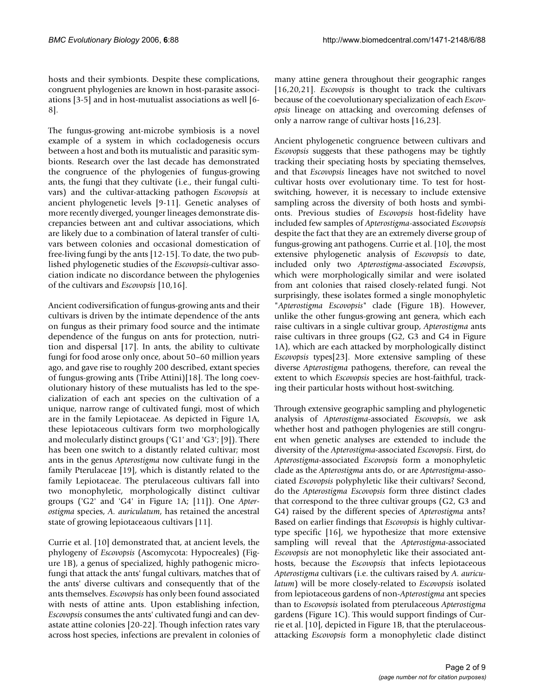hosts and their symbionts. Despite these complications, congruent phylogenies are known in host-parasite associations [3-5] and in host-mutualist associations as well [6- 8].

The fungus-growing ant-microbe symbiosis is a novel example of a system in which cocladogenesis occurs between a host and both its mutualistic and parasitic symbionts. Research over the last decade has demonstrated the congruence of the phylogenies of fungus-growing ants, the fungi that they cultivate (i.e., their fungal cultivars) and the cultivar-attacking pathogen *Escovopsis* at ancient phylogenetic levels [9-11]. Genetic analyses of more recently diverged, younger lineages demonstrate discrepancies between ant and cultivar associations, which are likely due to a combination of lateral transfer of cultivars between colonies and occasional domestication of free-living fungi by the ants [12-15]. To date, the two published phylogenetic studies of the *Escovopsis*-cultivar association indicate no discordance between the phylogenies of the cultivars and *Escovopsis* [10,16].

Ancient codiversification of fungus-growing ants and their cultivars is driven by the intimate dependence of the ants on fungus as their primary food source and the intimate dependence of the fungus on ants for protection, nutrition and dispersal [17]. In ants, the ability to cultivate fungi for food arose only once, about 50–60 million years ago, and gave rise to roughly 200 described, extant species of fungus-growing ants (Tribe Attini)[18]. The long coevolutionary history of these mutualists has led to the specialization of each ant species on the cultivation of a unique, narrow range of cultivated fungi, most of which are in the family Lepiotaceae. As depicted in Figure 1A, these lepiotaceous cultivars form two morphologically and molecularly distinct groups ('G1' and 'G3'; [9]). There has been one switch to a distantly related cultivar; most ants in the genus *Apterostigma* now cultivate fungi in the family Pterulaceae [19], which is distantly related to the family Lepiotaceae. The pterulaceous cultivars fall into two monophyletic, morphologically distinct cultivar groups ('G2' and 'G4' in Figure 1A; [11]). One *Apterostigma* species, *A. auriculatum*, has retained the ancestral state of growing lepiotaceaous cultivars [11].

Currie et al. [10] demonstrated that, at ancient levels, the phylogeny of *Escovopsis* (Ascomycota: Hypocreales) (Figure 1B), a genus of specialized, highly pathogenic microfungi that attack the ants' fungal cultivars, matches that of the ants' diverse cultivars and consequently that of the ants themselves. *Escovopsis* has only been found associated with nests of attine ants. Upon establishing infection, *Escovopsis* consumes the ants' cultivated fungi and can devastate attine colonies [20-22]. Though infection rates vary across host species, infections are prevalent in colonies of many attine genera throughout their geographic ranges [16,20,21]. *Escovopsis* is thought to track the cultivars because of the coevolutionary specialization of each *Escovopsis* lineage on attacking and overcoming defenses of only a narrow range of cultivar hosts [16,23].

Ancient phylogenetic congruence between cultivars and *Escovopsis* suggests that these pathogens may be tightly tracking their speciating hosts by speciating themselves, and that *Escovopsis* lineages have not switched to novel cultivar hosts over evolutionary time. To test for hostswitching, however, it is necessary to include extensive sampling across the diversity of both hosts and symbionts. Previous studies of *Escovopsis* host-fidelity have included few samples of *Apterostigma*-associated *Escovopsis* despite the fact that they are an extremely diverse group of fungus-growing ant pathogens. Currie et al. [10], the most extensive phylogenetic analysis of *Escovopsis* to date, included only two *Apterostigma*-associated *Escovopsis*, which were morphologically similar and were isolated from ant colonies that raised closely-related fungi. Not surprisingly, these isolates formed a single monophyletic "*Apterostigma Escovopsis*" clade (Figure 1B). However, unlike the other fungus-growing ant genera, which each raise cultivars in a single cultivar group, *Apterostigma* ants raise cultivars in three groups (G2, G3 and G4 in Figure 1A), which are each attacked by morphologically distinct *Escovopsis* types[23]. More extensive sampling of these diverse *Apterostigma* pathogens, therefore, can reveal the extent to which *Escovopsis* species are host-faithful, tracking their particular hosts without host-switching.

Through extensive geographic sampling and phylogenetic analysis of *Apterostigma*-associated *Escovopsis*, we ask whether host and pathogen phylogenies are still congruent when genetic analyses are extended to include the diversity of the *Apterostigma*-associated *Escovopsis*. First, do *Apterostigma*-associated *Escovopsis* form a monophyletic clade as the *Apterostigma* ants do, or are *Apterostigma*-associated *Escovopsis* polyphyletic like their cultivars? Second, do the *Apterostigma Escovopsis* form three distinct clades that correspond to the three cultivar groups (G2, G3 and G4) raised by the different species of *Apterostigma* ants? Based on earlier findings that *Escovopsis* is highly cultivartype specific [16], we hypothesize that more extensive sampling will reveal that the *Apterostigma*-associated *Escovopsis* are not monophyletic like their associated anthosts, because the *Escovopsis* that infects lepiotaceous *Apterostigma* cultivars (i.e. the cultivars raised by *A. auriculatum*) will be more closely-related to *Escovopsis* isolated from lepiotaceous gardens of non-*Apterostigma* ant species than to *Escovopsis* isolated from pterulaceous *Apterostigma* gardens (Figure 1C). This would support findings of Currie et al. [10], depicted in Figure 1B, that the pterulaceousattacking *Escovopsis* form a monophyletic clade distinct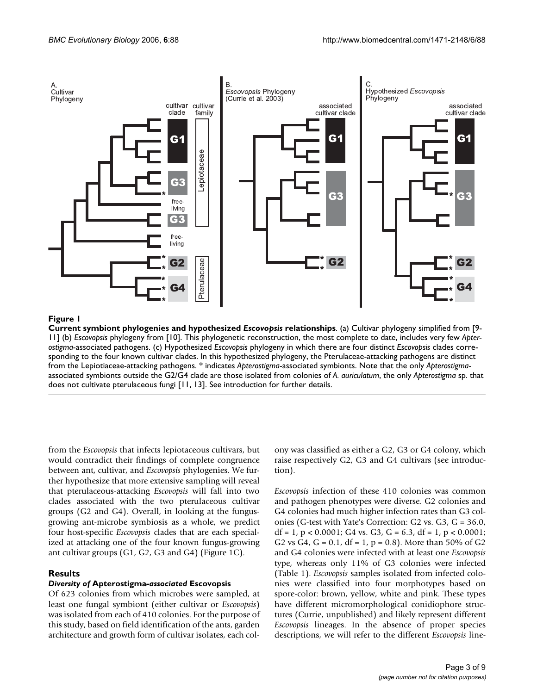

#### **Figure 1**

**Current symbiont phylogenies and hypothesized** *Escovopsis* **relationships**. (a) Cultivar phylogeny simplified from [9- 11] (b) *Escovopsis* phylogeny from [10]. This phylogenetic reconstruction, the most complete to date, includes very few *Apterostigma*-associated pathogens. (c) Hypothesized *Escovopsis* phylogeny in which there are four distinct *Escovopsis* clades corresponding to the four known cultivar clades. In this hypothesized phylogeny, the Pterulaceae-attacking pathogens are distinct from the Lepiotiaceae-attacking pathogens. \* indicates *Apterostigma*-associated symbionts. Note that the only *Apterostigma*associated symbionts outside the G2/G4 clade are those isolated from colonies of *A. auriculatum*, the only *Apterostigma* sp. that does not cultivate pterulaceous fungi [11, 13]. See introduction for further details.

from the *Escovopsis* that infects lepiotaceous cultivars, but would contradict their findings of complete congruence between ant, cultivar, and *Escovopsis* phylogenies. We further hypothesize that more extensive sampling will reveal that pterulaceous-attacking *Escovopsis* will fall into two clades associated with the two pterulaceous cultivar groups (G2 and G4). Overall, in looking at the fungusgrowing ant-microbe symbiosis as a whole, we predict four host-specific *Escovopsis* clades that are each specialized at attacking one of the four known fungus-growing ant cultivar groups (G1, G2, G3 and G4) (Figure 1C).

# **Results**

# *Diversity of* **Apterostigma***-associated* **Escovopsis**

Of 623 colonies from which microbes were sampled, at least one fungal symbiont (either cultivar or *Escovopsis*) was isolated from each of 410 colonies. For the purpose of this study, based on field identification of the ants, garden architecture and growth form of cultivar isolates, each colony was classified as either a G2, G3 or G4 colony, which raise respectively G2, G3 and G4 cultivars (see introduction).

*Escovopsis* infection of these 410 colonies was common and pathogen phenotypes were diverse. G2 colonies and G4 colonies had much higher infection rates than G3 colonies (G-test with Yate's Correction: G2 vs. G3, G = 36.0, df = 1, p < 0.0001; G4 vs. G3, G = 6.3, df = 1, p < 0.0001; G2 vs G4, G =  $0.1$ , df = 1, p =  $0.8$ ). More than 50% of G2 and G4 colonies were infected with at least one *Escovopsis* type, whereas only 11% of G3 colonies were infected (Table 1). *Escovopsis* samples isolated from infected colonies were classified into four morphotypes based on spore-color: brown, yellow, white and pink. These types have different micromorphological conidiophore structures (Currie, unpublished) and likely represent different *Escovopsis* lineages. In the absence of proper species descriptions, we will refer to the different *Escovopsis* line-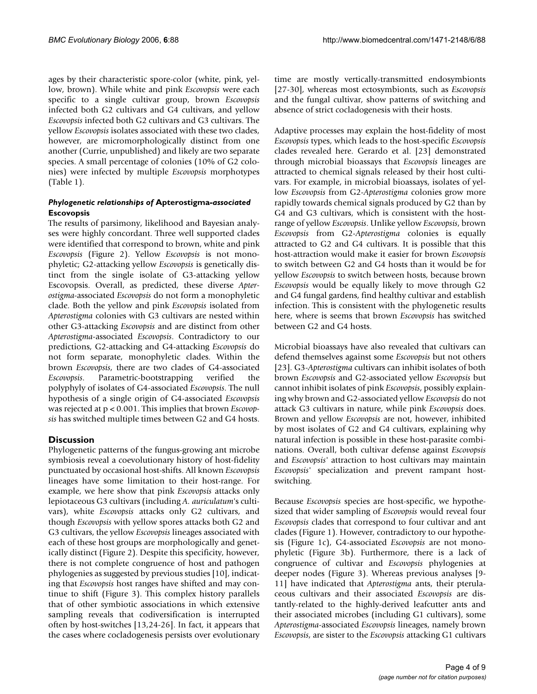ages by their characteristic spore-color (white, pink, yellow, brown). While white and pink *Escovopsis* were each specific to a single cultivar group, brown *Escovopsis* infected both G2 cultivars and G4 cultivars, and yellow *Escovopsis* infected both G2 cultivars and G3 cultivars. The yellow *Escovopsis* isolates associated with these two clades, however, are micromorphologically distinct from one another (Currie, unpublished) and likely are two separate species. A small percentage of colonies (10% of G2 colonies) were infected by multiple *Escovopsis* morphotypes (Table 1).

# *Phylogenetic relationships of* **Apterostigma***-associated*  **Escovopsis**

The results of parsimony, likelihood and Bayesian analyses were highly concordant. Three well supported clades were identified that correspond to brown, white and pink *Escovopsis* (Figure 2). Yellow *Escovopsis* is not monophyletic; G2-attacking yellow *Escovopsis* is genetically distinct from the single isolate of G3-attacking yellow Escovopsis. Overall, as predicted, these diverse *Apterostigma*-associated *Escovopsis* do not form a monophyletic clade. Both the yellow and pink *Escovopsis* isolated from *Apterostigma* colonies with G3 cultivars are nested within other G3-attacking *Escovopsis* and are distinct from other *Apterostigma*-associated *Escovopsis*. Contradictory to our predictions, G2-attacking and G4-attacking *Escovopsis* do not form separate, monophyletic clades. Within the brown *Escovopsis*, there are two clades of G4-associated *Escovopsis*. Parametric-bootstrapping verified the polyphyly of isolates of G4-associated *Escovopsis*. The null hypothesis of a single origin of G4-associated *Escovopsis* was rejected at p < 0.001. This implies that brown *Escovopsis* has switched multiple times between G2 and G4 hosts.

# **Discussion**

Phylogenetic patterns of the fungus-growing ant microbe symbiosis reveal a coevolutionary history of host-fidelity punctuated by occasional host-shifts. All known *Escovopsis* lineages have some limitation to their host-range. For example, we here show that pink *Escovopsis* attacks only lepiotaceous G3 cultivars (including *A. auriculatum*'s cultivars), white *Escovopsis* attacks only G2 cultivars, and though *Escovopsis* with yellow spores attacks both G2 and G3 cultivars, the yellow *Escovopsis* lineages associated with each of these host groups are morphologically and genetically distinct (Figure 2). Despite this specificity, however, there is not complete congruence of host and pathogen phylogenies as suggested by previous studies [10], indicating that *Escovopsis* host ranges have shifted and may continue to shift (Figure 3). This complex history parallels that of other symbiotic associations in which extensive sampling reveals that codiversification is interrupted often by host-switches [13,24-26]. In fact, it appears that the cases where cocladogenesis persists over evolutionary time are mostly vertically-transmitted endosymbionts [27-30], whereas most ectosymbionts, such as *Escovopsis* and the fungal cultivar, show patterns of switching and absence of strict cocladogenesis with their hosts.

Adaptive processes may explain the host-fidelity of most *Escovopsis* types, which leads to the host-specific *Escovopsis* clades revealed here. Gerardo et al. [23] demonstrated through microbial bioassays that *Escovopsis* lineages are attracted to chemical signals released by their host cultivars. For example, in microbial bioassays, isolates of yellow *Escovopsis* from G2-*Apterostigma* colonies grow more rapidly towards chemical signals produced by G2 than by G4 and G3 cultivars, which is consistent with the hostrange of yellow *Escovopsis*. Unlike yellow *Escovopsis*, brown *Escovopsis* from G2-*Apterostigma* colonies is equally attracted to G2 and G4 cultivars. It is possible that this host-attraction would make it easier for brown *Escovopsis* to switch between G2 and G4 hosts than it would be for yellow *Escovopsis* to switch between hosts, because brown *Escovopsis* would be equally likely to move through G2 and G4 fungal gardens, find healthy cultivar and establish infection. This is consistent with the phylogenetic results here, where is seems that brown *Escovopsis* has switched between G2 and G4 hosts.

Microbial bioassays have also revealed that cultivars can defend themselves against some *Escovopsis* but not others [23]. G3-*Apterostigma* cultivars can inhibit isolates of both brown *Escovopsis* and G2-associated yellow *Escovopsis* but cannot inhibit isolates of pink *Escovopsis*, possibly explaining why brown and G2-associated yellow *Escovopsis* do not attack G3 cultivars in nature, while pink *Escovopsis* does. Brown and yellow *Escovopsis* are not, however, inhibited by most isolates of G2 and G4 cultivars, explaining why natural infection is possible in these host-parasite combinations. Overall, both cultivar defense against *Escovopsis* and *Escovopsis'* attraction to host cultivars may maintain *Escovopsis'* specialization and prevent rampant hostswitching.

Because *Escovopsis* species are host-specific, we hypothesized that wider sampling of *Escovopsis* would reveal four *Escovopsis* clades that correspond to four cultivar and ant clades (Figure 1). However, contradictory to our hypothesis (Figure 1c), G4-associated *Escovopsis* are not monophyletic (Figure 3b). Furthermore, there is a lack of congruence of cultivar and *Escovopsis* phylogenies at deeper nodes (Figure 3). Whereas previous analyses [9- 11] have indicated that *Apterostigma* ants, their pterulaceous cultivars and their associated *Escovopsis* are distantly-related to the highly-derived leafcutter ants and their associated microbes (including G1 cultivars), some *Apterostigma*-associated *Escovopsis* lineages, namely brown *Escovopsis*, are sister to the *Escovopsis* attacking G1 cultivars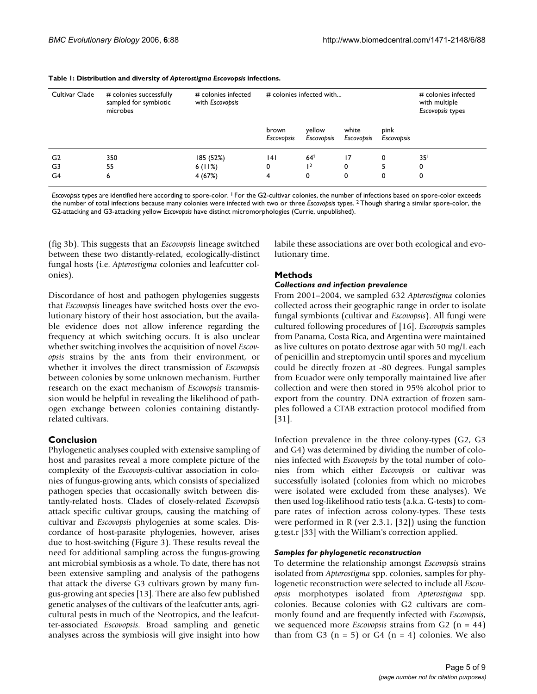| Cultivar Clade | # colonies successfully<br>sampled for symbiotic<br>microbes | # colonies infected<br>with Escovopsis | # colonies infected with   |                      |                     |                    | # colonies infected<br>with multiple<br>Escovopsis types |
|----------------|--------------------------------------------------------------|----------------------------------------|----------------------------|----------------------|---------------------|--------------------|----------------------------------------------------------|
|                |                                                              |                                        | brown<br><b>Escovopsis</b> | yellow<br>Escovopsis | white<br>Escovopsis | pink<br>Escovopsis |                                                          |
| G <sub>2</sub> | 350                                                          | 185 (52%)                              | 4                          | 64 <sup>2</sup>      | 17                  | 0                  | 35 <sup>1</sup>                                          |
| G3             | 55                                                           | 6(11%)                                 | 0                          | 2                    | 0                   |                    | 0                                                        |
| G4             | 6                                                            | 4(67%)                                 | 4                          | 0                    | 0                   | 0                  | 0                                                        |

#### **Table 1: Distribution and diversity of** *Apterostigma Escovopsis* **infections.**

*Escovopsis* types are identified here according to spore-color. 1 For the G2-cultivar colonies, the number of infections based on spore-color exceeds the number of total infections because many colonies were infected with two or three *Escovopsis* types. 2 Though sharing a similar spore-color, the G2-attacking and G3-attacking yellow *Escovopsis* have distinct micromorphologies (Currie, unpublished).

(fig 3b). This suggests that an *Escovopsis* lineage switched between these two distantly-related, ecologically-distinct fungal hosts (i.e. *Apterostigma* colonies and leafcutter colonies).

Discordance of host and pathogen phylogenies suggests that *Escovopsis* lineages have switched hosts over the evolutionary history of their host association, but the available evidence does not allow inference regarding the frequency at which switching occurs. It is also unclear whether switching involves the acquisition of novel *Escovopsis* strains by the ants from their environment, or whether it involves the direct transmission of *Escovopsis* between colonies by some unknown mechanism. Further research on the exact mechanism of *Escovopsis* transmission would be helpful in revealing the likelihood of pathogen exchange between colonies containing distantlyrelated cultivars.

#### **Conclusion**

Phylogenetic analyses coupled with extensive sampling of host and parasites reveal a more complete picture of the complexity of the *Escovopsis*-cultivar association in colonies of fungus-growing ants, which consists of specialized pathogen species that occasionally switch between distantly-related hosts. Clades of closely-related *Escovopsis* attack specific cultivar groups, causing the matching of cultivar and *Escovopsis* phylogenies at some scales. Discordance of host-parasite phylogenies, however, arises due to host-switching (Figure 3). These results reveal the need for additional sampling across the fungus-growing ant microbial symbiosis as a whole. To date, there has not been extensive sampling and analysis of the pathogens that attack the diverse G3 cultivars grown by many fungus-growing ant species [13]. There are also few published genetic analyses of the cultivars of the leafcutter ants, agricultural pests in much of the Neotropics, and the leafcutter-associated *Escovopsis*. Broad sampling and genetic analyses across the symbiosis will give insight into how

labile these associations are over both ecological and evolutionary time.

#### **Methods**

#### *Collections and infection prevalence*

From 2001–2004, we sampled 632 *Apterostigma* colonies collected across their geographic range in order to isolate fungal symbionts (cultivar and *Escovopsis*). All fungi were cultured following procedures of [16]. *Escovopsis* samples from Panama, Costa Rica, and Argentina were maintained as live cultures on potato dextrose agar with 50 mg/L each of penicillin and streptomycin until spores and mycelium could be directly frozen at -80 degrees. Fungal samples from Ecuador were only temporally maintained live after collection and were then stored in 95% alcohol prior to export from the country. DNA extraction of frozen samples followed a CTAB extraction protocol modified from [31].

Infection prevalence in the three colony-types (G2, G3 and G4) was determined by dividing the number of colonies infected with *Escovopsis* by the total number of colonies from which either *Escovopsis* or cultivar was successfully isolated (colonies from which no microbes were isolated were excluded from these analyses). We then used log-likelihood ratio tests (a.k.a. G-tests) to compare rates of infection across colony-types. These tests were performed in R (ver 2.3.1, [32]) using the function g.test.r [33] with the William's correction applied.

#### *Samples for phylogenetic reconstruction*

To determine the relationship amongst *Escovopsis* strains isolated from *Apterostigma* spp. colonies, samples for phylogenetic reconstruction were selected to include all *Escovopsis* morphotypes isolated from *Apterostigma* spp. colonies. Because colonies with G2 cultivars are commonly found and are frequently infected with *Escovopsis*, we sequenced more *Escovopsis* strains from G2 (n = 44) than from G3  $(n = 5)$  or G4  $(n = 4)$  colonies. We also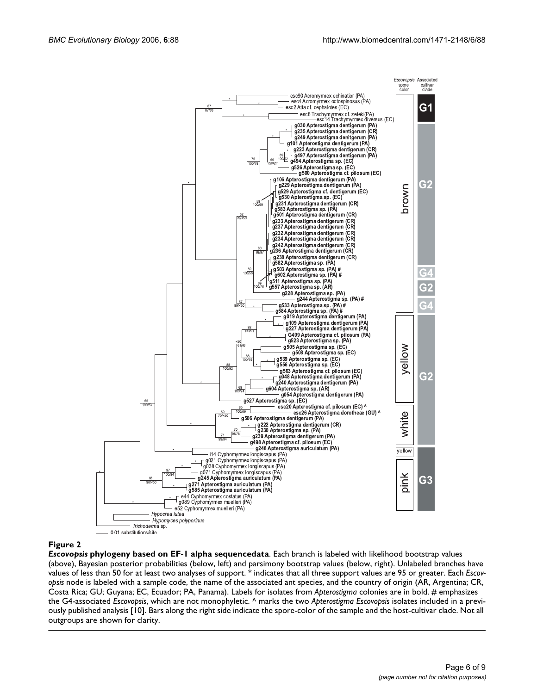

#### **Figure 2**

*Escovopsis* **phylogeny based on EF-1 alpha sequencedata**. Each branch is labeled with likelihood bootstrap values (above), Bayesian posterior probabilities (below, left) and parsimony bootstrap values (below, right). Unlabeled branches have values of less than 50 for at least two analyses of support. \* indicates that all three support values are 95 or greater. Each *Escovopsis* node is labeled with a sample code, the name of the associated ant species, and the country of origin (AR, Argentina; CR, Costa Rica; GU; Guyana; EC, Ecuador; PA, Panama). Labels for isolates from *Apterostigma* colonies are in bold. # emphasizes the G4-associated *Escovopsis*, which are not monophyletic. ^ marks the two *Apterostigma Escovopsis* isolates included in a previously published analysis [10]. Bars along the right side indicate the spore-color of the sample and the host-cultivar clade. Not all outgroups are shown for clarity.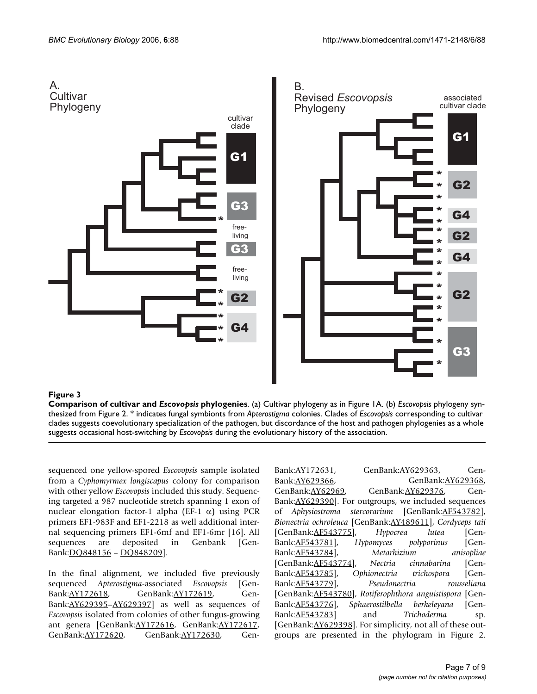

# Figure 3

**Comparison of cultivar and** *Escovopsis* **phylogenies**. (a) Cultivar phylogeny as in Figure 1A. (b) *Escovopsis* phylogeny synthesized from Figure 2. \* indicates fungal symbionts from *Apterostigma* colonies. Clades of *Escovopsis* corresponding to cultivar clades suggests coevolutionary specialization of the pathogen, but discordance of the host and pathogen phylogenies as a whole suggests occasional host-switching by *Escovopsis* during the evolutionary history of the association.

sequenced one yellow-spored *Escovopsis* sample isolated from a *Cyphomyrmex longiscapus* colony for comparison with other yellow *Escovopsis* included this study. Sequencing targeted a 987 nucleotide stretch spanning 1 exon of nuclear elongation factor-1 alpha (EF-1  $\alpha$ ) using PCR primers EF1-983F and EF1-2218 as well additional internal sequencing primers EF1-6mf and EF1-6mr [16]. All sequences are deposited in Genbank [Gen-Bank:[DQ848156](http://www.ncbi.nih.gov/entrez/query.fcgi?db=Nucleotide&cmd=search&term=DQ848156) – [DQ848209](http://www.ncbi.nih.gov/entrez/query.fcgi?db=Nucleotide&cmd=search&term=DQ848209)].

In the final alignment, we included five previously sequenced *Apterostigma*-associated *Escovopsis* [Gen-Bank:[AY172618](http://www.ncbi.nih.gov/entrez/query.fcgi?db=Nucleotide&cmd=search&term=AY172618), GenBank:[AY172619](http://www.ncbi.nih.gov/entrez/query.fcgi?db=Nucleotide&cmd=search&term=AY172619), Gen-Bank:[AY629395](http://www.ncbi.nih.gov/entrez/query.fcgi?db=Nucleotide&cmd=search&term=AY629395)–[AY629397\]](http://www.ncbi.nih.gov/entrez/query.fcgi?db=Nucleotide&cmd=search&term=AY629397) as well as sequences of *Escovopsis* isolated from colonies of other fungus-growing ant genera [GenBank:[AY172616,](http://www.ncbi.nih.gov/entrez/query.fcgi?db=Nucleotide&cmd=search&term=AY172616) GenBank[:AY172617,](http://www.ncbi.nih.gov/entrez/query.fcgi?db=Nucleotide&cmd=search&term=AY172617) GenBank[:AY172620,](http://www.ncbi.nih.gov/entrez/query.fcgi?db=Nucleotide&cmd=search&term=AY172620) GenBank:[AY172630,](http://www.ncbi.nih.gov/entrez/query.fcgi?db=Nucleotide&cmd=search&term=AY172630) GenBank: <u>[AY172631](http://www.ncbi.nih.gov/entrez/query.fcgi?db=Nucleotide&cmd=search&term=AY172631)</u>, GenBank: <u>[AY629363](http://www.ncbi.nih.gov/entrez/query.fcgi?db=Nucleotide&cmd=search&term=AY629363)</u>, Gen-Bank:[AY629366](http://www.ncbi.nih.gov/entrez/query.fcgi?db=Nucleotide&cmd=search&term=AY629366), GenBank[:AY629368,](http://www.ncbi.nih.gov/entrez/query.fcgi?db=Nucleotide&cmd=search&term=AY629368) GenBank[:AY62969](http://www.ncbi.nih.gov/entrez/query.fcgi?db=Nucleotide&cmd=search&term=AY62969), GenBank:[AY629376](http://www.ncbi.nih.gov/entrez/query.fcgi?db=Nucleotide&cmd=search&term=AY629376), Gen-Bank:[AY629390](http://www.ncbi.nih.gov/entrez/query.fcgi?db=Nucleotide&cmd=search&term=AY629390)]. For outgroups, we included sequences of *Aphysiostroma stercorarium* [GenBank:[AF543782](http://www.ncbi.nih.gov/entrez/query.fcgi?db=Nucleotide&cmd=search&term=AF543782)], *Bionectria ochroleuca* [GenBank[:AY489611\]](http://www.ncbi.nih.gov/entrez/query.fcgi?db=Nucleotide&cmd=search&term=AY489611), *Cordyceps taii* [GenBank:[AF543775](http://www.ncbi.nih.gov/entrez/query.fcgi?db=Nucleotide&cmd=search&term=AF543775)], *Hypocrea lutea* [Gen-Bank:[AF543781](http://www.ncbi.nih.gov/entrez/query.fcgi?db=Nucleotide&cmd=search&term=AF543781)], *Hypomyces polyporinus* [Gen-Bank:[AF543784](http://www.ncbi.nih.gov/entrez/query.fcgi?db=Nucleotide&cmd=search&term=AF543784)], *Metarhizium anisopliae* [GenBank:[AF543774](http://www.ncbi.nih.gov/entrez/query.fcgi?db=Nucleotide&cmd=search&term=AF543774)], *Nectria cinnabarina* [Gen-Bank:[AF543785](http://www.ncbi.nih.gov/entrez/query.fcgi?db=Nucleotide&cmd=search&term=AF543785)], *Ophionectria trichospora* [Gen-Bank:[AF543779](http://www.ncbi.nih.gov/entrez/query.fcgi?db=Nucleotide&cmd=search&term=AF543779)], *Pseudonectria rousseliana* [GenBank:[AF543780](http://www.ncbi.nih.gov/entrez/query.fcgi?db=Nucleotide&cmd=search&term=AF543780)], *Rotiferophthora anguistispora* [Gen-Bank:[AF543776](http://www.ncbi.nih.gov/entrez/query.fcgi?db=Nucleotide&cmd=search&term=AF543776)], *Sphaerostilbella berkeleyana* [Gen-Bank:[AF543783](http://www.ncbi.nih.gov/entrez/query.fcgi?db=Nucleotide&cmd=search&term=AF543783)] and *Trichoderma* sp. [GenBank: <u>[AY629398](http://www.ncbi.nih.gov/entrez/query.fcgi?db=Nucleotide&cmd=search&term=AY629398)</u>]. For simplicity, not all of these outgroups are presented in the phylogram in Figure 2.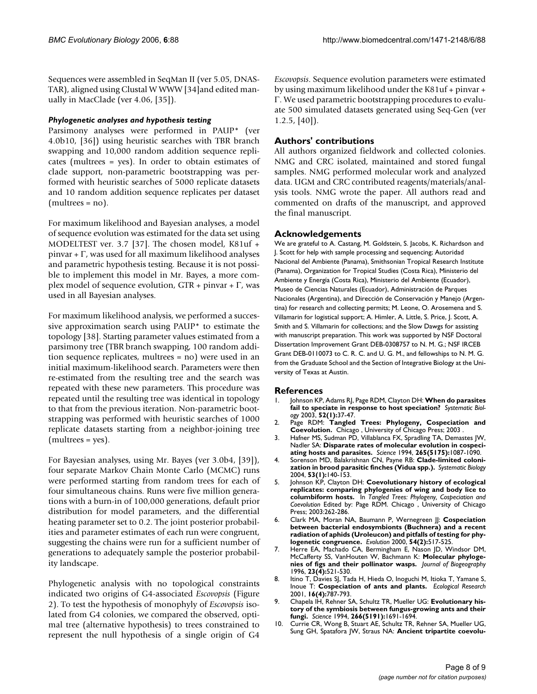Sequences were assembled in SeqMan II (ver 5.05, DNAS-TAR), aligned using Clustal W WWW [34]and edited manually in MacClade (ver 4.06, [35]).

#### *Phylogenetic analyses and hypothesis testing*

Parsimony analyses were performed in PAUP\* (ver 4.0b10, [36]) using heuristic searches with TBR branch swapping and 10,000 random addition sequence replicates (multrees = yes). In order to obtain estimates of clade support, non-parametric bootstrapping was performed with heuristic searches of 5000 replicate datasets and 10 random addition sequence replicates per dataset (multrees = no).

For maximum likelihood and Bayesian analyses, a model of sequence evolution was estimated for the data set using MODELTEST ver. 3.7 [37]. The chosen model, K81uf + pinvar + Γ, was used for all maximum likelihood analyses and parametric hypothesis testing. Because it is not possible to implement this model in Mr. Bayes, a more complex model of sequence evolution,  $GTR + p$ invar + Γ, was used in all Bayesian analyses.

For maximum likelihood analysis, we performed a successive approximation search using PAUP\* to estimate the topology [38]. Starting parameter values estimated from a parsimony tree (TBR branch swapping, 100 random addition sequence replicates, multrees = no) were used in an initial maximum-likelihood search. Parameters were then re-estimated from the resulting tree and the search was repeated with these new parameters. This procedure was repeated until the resulting tree was identical in topology to that from the previous iteration. Non-parametric bootstrapping was performed with heuristic searches of 1000 replicate datasets starting from a neighbor-joining tree (multrees = yes).

For Bayesian analyses, using Mr. Bayes (ver 3.0b4, [39]), four separate Markov Chain Monte Carlo (MCMC) runs were performed starting from random trees for each of four simultaneous chains. Runs were five million generations with a burn-in of 100,000 generations, default prior distribution for model parameters, and the differential heating parameter set to 0.2. The joint posterior probabilities and parameter estimates of each run were congruent, suggesting the chains were run for a sufficient number of generations to adequately sample the posterior probability landscape.

Phylogenetic analysis with no topological constraints indicated two origins of G4-associated *Escovopsis* (Figure 2). To test the hypothesis of monophyly of *Escovopsis* isolated from G4 colonies, we compared the observed, optimal tree (alternative hypothesis) to trees constrained to represent the null hypothesis of a single origin of G4

*Escovopsis*. Sequence evolution parameters were estimated by using maximum likelihood under the K81uf + pinvar + Γ. We used parametric bootstrapping procedures to evaluate 500 simulated datasets generated using Seq-Gen (ver  $1.2.5, [40]$ .

## **Authors' contributions**

All authors organized fieldwork and collected colonies. NMG and CRC isolated, maintained and stored fungal samples. NMG performed molecular work and analyzed data. UGM and CRC contributed reagents/materials/analysis tools. NMG wrote the paper. All authors read and commented on drafts of the manuscript, and approved the final manuscript.

### **Acknowledgements**

We are grateful to A. Castang, M. Goldstein, S. Jacobs, K. Richardson and J. Scott for help with sample processing and sequencing; Autoridad Nacional del Ambiente (Panama), Smithsonian Tropical Research Institute (Panama), Organization for Tropical Studies (Costa Rica), Ministerio del Ambiente y Energía (Costa Rica), Ministerio del Ambiente (Ecuador), Museo de Ciencias Naturales (Ecuador), Administración de Parques Nacionales (Argentina), and Dirección de Conservación y Manejo (Argentina) for research and collecting permits; M. Leone, O. Arosemena and S. Villamarin for logistical support; A. Himler, A. Little, S. Price, J. Scott, A. Smith and S. Villamarin for collections; and the Slow Dawgs for assisting with manuscript preparation. This work was supported by NSF Doctoral Dissertation Improvement Grant DEB-0308757 to N. M. G.; NSF IRCEB Grant DEB-0110073 to C. R. C. and U. G. M., and fellowships to N. M. G. from the Graduate School and the Section of Integrative Biology at the University of Texas at Austin.

#### **References**

- 1. Johnson KP, Adams RJ, Page RDM, Clayton DH: **[When do parasites](http://www.ncbi.nlm.nih.gov/entrez/query.fcgi?cmd=Retrieve&db=PubMed&dopt=Abstract&list_uids=12554438) [fail to speciate in response to host speciation?](http://www.ncbi.nlm.nih.gov/entrez/query.fcgi?cmd=Retrieve&db=PubMed&dopt=Abstract&list_uids=12554438)** *Systematic Biology* 2003, **52(1):**37-47.
- 2. Page RDM: **Tangled Trees: Phylogeny, Cospeciation and Coevolution.** Chicago , University of Chicago Press; 2003 .
- 3. Hafner MS, Sudman PD, Villablanca FX, Spradling TA, Demastes JW, Nadler SA: **[Disparate rates of molecular evolution in cospeci](http://www.ncbi.nlm.nih.gov/entrez/query.fcgi?cmd=Retrieve&db=PubMed&dopt=Abstract&list_uids=8066445)[ating hosts and parasites.](http://www.ncbi.nlm.nih.gov/entrez/query.fcgi?cmd=Retrieve&db=PubMed&dopt=Abstract&list_uids=8066445)** *Science* 1994, **265(5175):**1087-1090.
- 4. Sorenson MD, Balakrishnan CN, Payne RB: **[Clade-limited coloni](http://www.ncbi.nlm.nih.gov/entrez/query.fcgi?cmd=Retrieve&db=PubMed&dopt=Abstract&list_uids=14965909)[zation in brood parasitic finches \(Vidua spp.\).](http://www.ncbi.nlm.nih.gov/entrez/query.fcgi?cmd=Retrieve&db=PubMed&dopt=Abstract&list_uids=14965909)** *Systematic Biology* 2004, **53(1):**140-153.
- 5. Johnson KP, Clayton DH: **Coevolutionary history of ecological replicates: comparing phylogenies of wing and body lice to columbiform hosts.** In *Tangled Trees: Phylogeny, Cospeciation and Coevolution* Edited by: Page RDM. Chicago , University of Chicago Press; 2003:262-286.
- 6. Clark MA, Moran NA, Baumann P, Wernegreen JJ: **[Cospeciation](http://www.ncbi.nlm.nih.gov/entrez/query.fcgi?cmd=Retrieve&db=PubMed&dopt=Abstract&list_uids=10937228) between bacterial endosymbionts (Buchnera) and a recent [radiation of aphids \(Uroleucon\) and pitfalls of testing for phy](http://www.ncbi.nlm.nih.gov/entrez/query.fcgi?cmd=Retrieve&db=PubMed&dopt=Abstract&list_uids=10937228)[logenetic congruence.](http://www.ncbi.nlm.nih.gov/entrez/query.fcgi?cmd=Retrieve&db=PubMed&dopt=Abstract&list_uids=10937228)** *Evolution* 2000, **54(2):**517-525.
- Herre EA, Machado CA, Bermingham E, Nason JD, Windsor DM, McCafferty SS, VanHouten W, Bachmann K: **Molecular phylogenies of figs and their pollinator wasps.** *Journal of Biogeography* 1996, **23(4):**521-530.
- 8. Itino T, Davies SJ, Tada H, Hieda O, Inoguchi M, Itioka T, Yamane S, Inoue T: **Cospeciation of ants and plants.** *Ecological Research* 2001, **16(4):**787-793.
- 9. Chapela IH, Rehner SA, Schultz TR, Mueller UG: **Evolutionary history of the symbiosis between fungus-growing ants and their fungi.** *Science* 1994, **266(5191):**1691-1694.
- 10. Currie CR, Wong B, Stuart AE, Schultz TR, Rehner SA, Mueller UG, Sung GH, Spatafora JW, Straus NA: **[Ancient tripartite coevolu](http://www.ncbi.nlm.nih.gov/entrez/query.fcgi?cmd=Retrieve&db=PubMed&dopt=Abstract&list_uids=12532015)-**